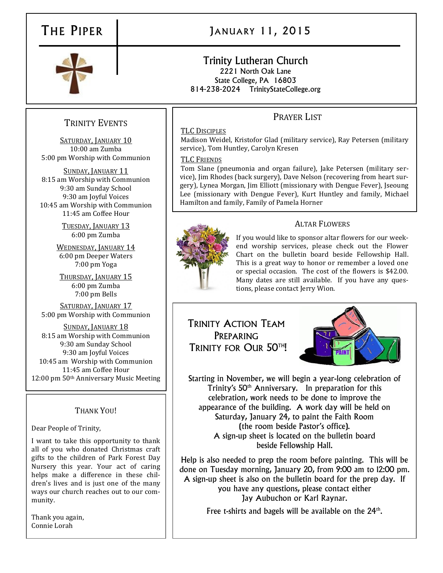

# THE PIPER JANUARY 11, 2015

#### Trinity Lutheran Church 2221 North Oak Lane State College, PA 16803 814-238-2024 TrinityStateCollege.org

## TRINITY EVENTS

SATURDAY, JANUARY 10 10:00 am Zumba 5:00 pm Worship with Communion

SUNDAY, JANUARY 11 8:15 am Worship with Communion 9:30 am Sunday School 9:30 am Joyful Voices 10:45 am Worship with Communion 11:45 am Coffee Hour

> TUESDAY, JANUARY 13 6:00 pm Zumba

WEDNESDAY, JANUARY 14 6:00 pm Deeper Waters 7:00 pm Yoga

THURSDAY, JANUARY 15 6:00 pm Zumba 7:00 pm Bells

SATURDAY, JANUARY 17 5:00 pm Worship with Communion

SUNDAY, JANUARY 18 8:15 am Worship with Communion 9:30 am Sunday School 9:30 am Joyful Voices 10:45 am Worship with Communion 11:45 am Coffee Hour 12:00 pm 50th Anniversary Music Meeting

### THANK YOU!

Dear People of Trinity,

I want to take this opportunity to thank all of you who donated Christmas craft gifts to the children of Park Forest Day Nursery this year. Your act of caring helps make a difference in these children's lives and is just one of the many ways our church reaches out to our community.

Thank you again, Connie Lorah

## PRAYER LIST

#### TLC DISCIPLES

Madison Weidel, Kristofor Glad (military service), Ray Petersen (military service), Tom Huntley, Carolyn Kresen

#### TLC FRIENDS

Tom Slane (pneumonia and organ failure), Jake Petersen (military service), Jim Rhodes (back surgery), Dave Nelson (recovering from heart surgery), Lynea Morgan, Jim Elliott (missionary with Dengue Fever), Jseoung Lee (missionary with Dengue Fever), Kurt Huntley and family, Michael Hamilton and family, Family of Pamela Horner



#### ALTAR FLOWERS

If you would like to sponsor altar flowers for our weekend worship services, please check out the Flower Chart on the bulletin board beside Fellowship Hall. This is a great way to honor or remember a loved one or special occasion. The cost of the flowers is \$42.00. Many dates are still available. If you have any questions, please contact Jerry Wion.

TRINITY ACTION TEAM PREPARING TRINITY FOR OUR 50TH!



Starting in November, we will begin a year-long celebration of Trinity's 50<sup>th</sup> Anniversary. In preparation for this celebration, work needs to be done to improve the appearance of the building. A work day will be held on Saturday, January 24, to paint the Faith Room (the room beside Pastor's office). A sign-up sheet is located on the bulletin board beside Fellowship Hall.

Help is also needed to prep the room before painting. This will be done on Tuesday morning, January 20, from 9:00 am to 12:00 pm. A sign-up sheet is also on the bulletin board for the prep day. If you have any questions, please contact either Jay Aubuchon or Karl Raynar.

Free t-shirts and bagels will be available on the  $24<sup>th</sup>$ .